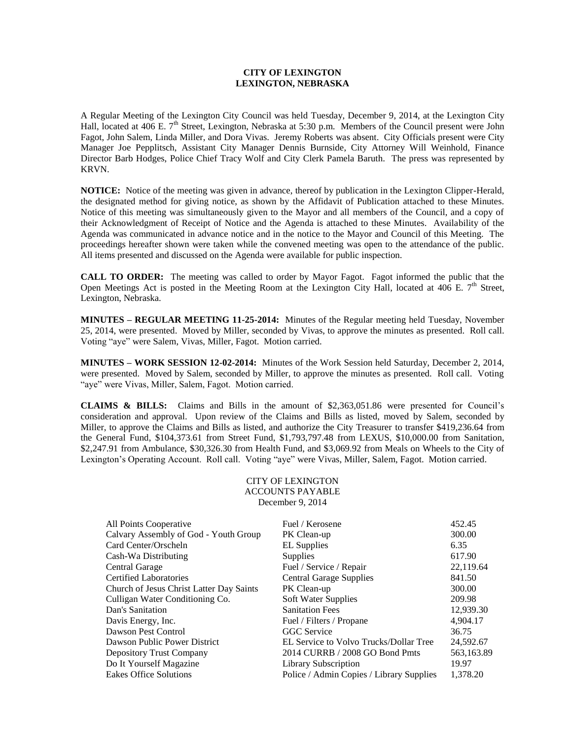## **CITY OF LEXINGTON LEXINGTON, NEBRASKA**

A Regular Meeting of the Lexington City Council was held Tuesday, December 9, 2014, at the Lexington City Hall, located at 406 E. 7<sup>th</sup> Street, Lexington, Nebraska at 5:30 p.m. Members of the Council present were John Fagot, John Salem, Linda Miller, and Dora Vivas. Jeremy Roberts was absent. City Officials present were City Manager Joe Pepplitsch, Assistant City Manager Dennis Burnside, City Attorney Will Weinhold, Finance Director Barb Hodges, Police Chief Tracy Wolf and City Clerk Pamela Baruth. The press was represented by KRVN.

**NOTICE:** Notice of the meeting was given in advance, thereof by publication in the Lexington Clipper-Herald, the designated method for giving notice, as shown by the Affidavit of Publication attached to these Minutes. Notice of this meeting was simultaneously given to the Mayor and all members of the Council, and a copy of their Acknowledgment of Receipt of Notice and the Agenda is attached to these Minutes. Availability of the Agenda was communicated in advance notice and in the notice to the Mayor and Council of this Meeting. The proceedings hereafter shown were taken while the convened meeting was open to the attendance of the public. All items presented and discussed on the Agenda were available for public inspection.

**CALL TO ORDER:** The meeting was called to order by Mayor Fagot. Fagot informed the public that the Open Meetings Act is posted in the Meeting Room at the Lexington City Hall, located at 406 E.  $7<sup>th</sup>$  Street, Lexington, Nebraska.

**MINUTES – REGULAR MEETING 11-25-2014:** Minutes of the Regular meeting held Tuesday, November 25, 2014, were presented. Moved by Miller, seconded by Vivas, to approve the minutes as presented. Roll call. Voting "aye" were Salem, Vivas, Miller, Fagot. Motion carried.

**MINUTES – WORK SESSION 12-02-2014:** Minutes of the Work Session held Saturday, December 2, 2014, were presented. Moved by Salem, seconded by Miller, to approve the minutes as presented. Roll call. Voting "aye" were Vivas, Miller, Salem, Fagot. Motion carried.

**CLAIMS & BILLS:** Claims and Bills in the amount of \$2,363,051.86 were presented for Council's consideration and approval. Upon review of the Claims and Bills as listed, moved by Salem, seconded by Miller, to approve the Claims and Bills as listed, and authorize the City Treasurer to transfer \$419,236.64 from the General Fund, \$104,373.61 from Street Fund, \$1,793,797.48 from LEXUS, \$10,000.00 from Sanitation, \$2,247.91 from Ambulance, \$30,326.30 from Health Fund, and \$3,069.92 from Meals on Wheels to the City of Lexington's Operating Account. Roll call. Voting "aye" were Vivas, Miller, Salem, Fagot. Motion carried.

> CITY OF LEXINGTON ACCOUNTS PAYABLE December 9, 2014

| Calvary Assembly of God - Youth Group<br>300.00<br>PK Clean-up<br>Card Center/Orscheln<br><b>EL</b> Supplies<br>6.35<br>617.90<br>Cash-Wa Distributing<br>Supplies |
|--------------------------------------------------------------------------------------------------------------------------------------------------------------------|
|                                                                                                                                                                    |
|                                                                                                                                                                    |
|                                                                                                                                                                    |
| 22,119.64<br>Central Garage<br>Fuel / Service / Repair                                                                                                             |
| <b>Certified Laboratories</b><br><b>Central Garage Supplies</b><br>841.50                                                                                          |
| 300.00<br>Church of Jesus Christ Latter Day Saints<br>PK Clean-up                                                                                                  |
| Culligan Water Conditioning Co.<br>209.98<br><b>Soft Water Supplies</b>                                                                                            |
| 12,939.30<br><b>Sanitation Fees</b><br>Dan's Sanitation                                                                                                            |
| 4,904.17<br>Davis Energy, Inc.<br>Fuel / Filters / Propane                                                                                                         |
| Dawson Pest Control<br><b>GGC</b> Service<br>36.75                                                                                                                 |
| 24,592.67<br>Dawson Public Power District<br>EL Service to Volvo Trucks/Dollar Tree                                                                                |
| 2014 CURRB / 2008 GO Bond Pmts<br>563,163.89<br>Depository Trust Company                                                                                           |
| Do It Yourself Magazine<br>19.97<br>Library Subscription                                                                                                           |
| 1.378.20<br>Eakes Office Solutions<br>Police / Admin Copies / Library Supplies                                                                                     |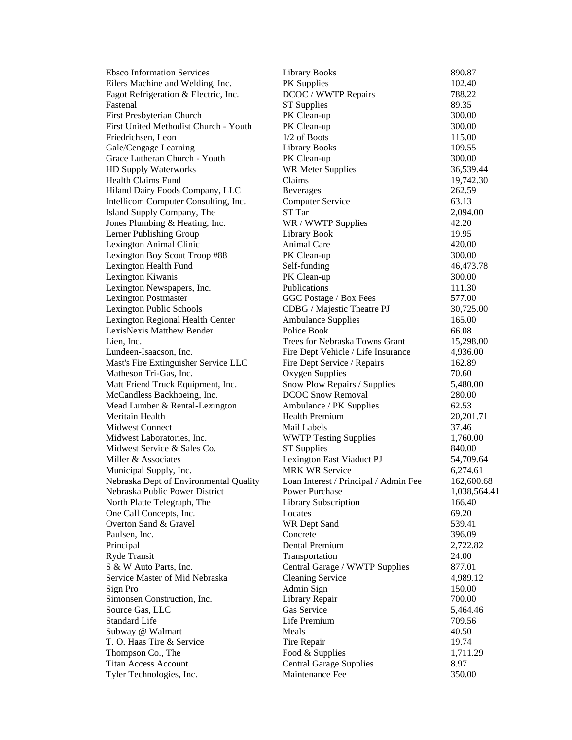| <b>Ebsco Information Services</b>      | <b>Library Books</b>                  | 890.87       |
|----------------------------------------|---------------------------------------|--------------|
| Eilers Machine and Welding, Inc.       | PK Supplies                           | 102.40       |
| Fagot Refrigeration & Electric, Inc.   | DCOC / WWTP Repairs                   | 788.22       |
| Fastenal                               | <b>ST</b> Supplies                    | 89.35        |
| First Presbyterian Church              | PK Clean-up                           | 300.00       |
| First United Methodist Church - Youth  | PK Clean-up                           | 300.00       |
| Friedrichsen, Leon                     | $1/2$ of Boots                        | 115.00       |
| Gale/Cengage Learning                  | <b>Library Books</b>                  | 109.55       |
| Grace Lutheran Church - Youth          | PK Clean-up                           | 300.00       |
| HD Supply Waterworks                   | <b>WR Meter Supplies</b>              | 36,539.44    |
| <b>Health Claims Fund</b>              | Claims                                | 19,742.30    |
| Hiland Dairy Foods Company, LLC        | <b>Beverages</b>                      | 262.59       |
| Intellicom Computer Consulting, Inc.   | Computer Service                      | 63.13        |
| Island Supply Company, The             | ST Tar                                | 2,094.00     |
| Jones Plumbing & Heating, Inc.         | WR / WWTP Supplies                    | 42.20        |
| Lerner Publishing Group                | Library Book                          | 19.95        |
| Lexington Animal Clinic                | Animal Care                           | 420.00       |
| Lexington Boy Scout Troop #88          | PK Clean-up                           | 300.00       |
| Lexington Health Fund                  | Self-funding                          | 46,473.78    |
| Lexington Kiwanis                      | PK Clean-up                           | 300.00       |
| Lexington Newspapers, Inc.             | Publications                          | 111.30       |
| <b>Lexington Postmaster</b>            | GGC Postage / Box Fees                | 577.00       |
| Lexington Public Schools               | CDBG / Majestic Theatre PJ            | 30,725.00    |
| Lexington Regional Health Center       | <b>Ambulance Supplies</b>             | 165.00       |
| LexisNexis Matthew Bender              | Police Book                           | 66.08        |
| Lien, Inc.                             | Trees for Nebraska Towns Grant        | 15,298.00    |
| Lundeen-Isaacson, Inc.                 | Fire Dept Vehicle / Life Insurance    | 4,936.00     |
| Mast's Fire Extinguisher Service LLC   | Fire Dept Service / Repairs           | 162.89       |
| Matheson Tri-Gas, Inc.                 | Oxygen Supplies                       | 70.60        |
| Matt Friend Truck Equipment, Inc.      | Snow Plow Repairs / Supplies          | 5,480.00     |
| McCandless Backhoeing, Inc.            | <b>DCOC Snow Removal</b>              | 280.00       |
| Mead Lumber & Rental-Lexington         | Ambulance / PK Supplies               | 62.53        |
| Meritain Health                        | <b>Health Premium</b>                 | 20,201.71    |
| <b>Midwest Connect</b>                 | Mail Labels                           | 37.46        |
| Midwest Laboratories, Inc.             | <b>WWTP Testing Supplies</b>          | 1,760.00     |
| Midwest Service & Sales Co.            | <b>ST</b> Supplies                    | 840.00       |
| Miller & Associates                    | Lexington East Viaduct PJ             | 54,709.64    |
| Municipal Supply, Inc.                 | <b>MRK WR Service</b>                 | 6,274.61     |
| Nebraska Dept of Environmental Quality | Loan Interest / Principal / Admin Fee | 162,600.68   |
| Nebraska Public Power District         | <b>Power Purchase</b>                 | 1,038,564.41 |
| North Platte Telegraph, The            | Library Subscription                  | 166.40       |
| One Call Concepts, Inc.                | Locates                               | 69.20        |
| Overton Sand & Gravel                  | WR Dept Sand                          | 539.41       |
| Paulsen, Inc.                          | Concrete                              | 396.09       |
| Principal                              | Dental Premium                        | 2,722.82     |
| Ryde Transit                           | Transportation                        | 24.00        |
| S & W Auto Parts, Inc.                 | Central Garage / WWTP Supplies        | 877.01       |
| Service Master of Mid Nebraska         | <b>Cleaning Service</b>               | 4,989.12     |
| Sign Pro                               | Admin Sign                            | 150.00       |
| Simonsen Construction, Inc.            | Library Repair                        | 700.00       |
| Source Gas, LLC                        | Gas Service                           | 5,464.46     |
| <b>Standard Life</b>                   | Life Premium                          | 709.56       |
| Subway @ Walmart                       | Meals                                 | 40.50        |
| T. O. Haas Tire & Service              | Tire Repair                           | 19.74        |
| Thompson Co., The                      | Food & Supplies                       | 1,711.29     |
| <b>Titan Access Account</b>            | <b>Central Garage Supplies</b>        | 8.97         |
| Tyler Technologies, Inc.               | Maintenance Fee                       | 350.00       |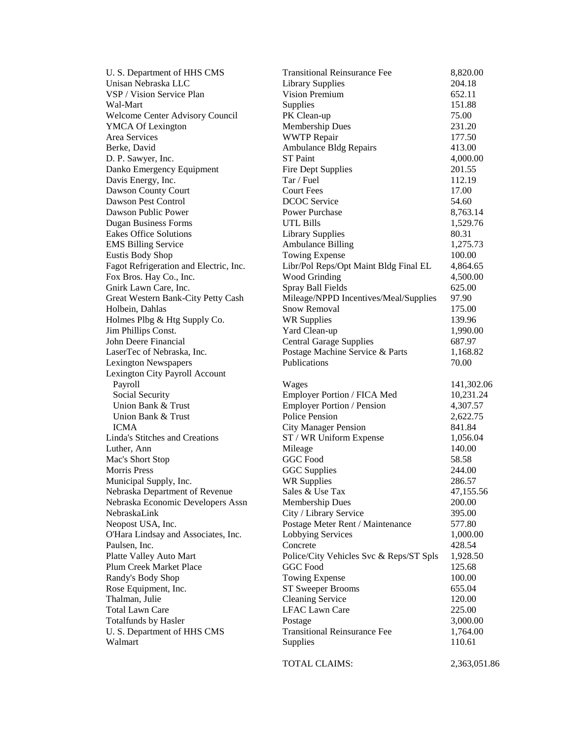| U. S. Department of HHS CMS            | <b>Transitional Reinsurance Fee</b>     | 8,820.00     |
|----------------------------------------|-----------------------------------------|--------------|
| Unisan Nebraska LLC                    | <b>Library Supplies</b>                 | 204.18       |
| VSP / Vision Service Plan              | Vision Premium                          | 652.11       |
| Wal-Mart                               | Supplies                                | 151.88       |
| <b>Welcome Center Advisory Council</b> | PK Clean-up                             | 75.00        |
| <b>YMCA Of Lexington</b>               | Membership Dues                         | 231.20       |
| Area Services                          | <b>WWTP</b> Repair                      | 177.50       |
| Berke, David                           | <b>Ambulance Bldg Repairs</b>           | 413.00       |
| D. P. Sawyer, Inc.                     | <b>ST</b> Paint                         | 4,000.00     |
| Danko Emergency Equipment              | Fire Dept Supplies                      | 201.55       |
| Davis Energy, Inc.                     | Tar / Fuel                              | 112.19       |
| Dawson County Court                    | <b>Court Fees</b>                       | 17.00        |
| Dawson Pest Control                    | <b>DCOC</b> Service                     | 54.60        |
| Dawson Public Power                    | Power Purchase                          | 8,763.14     |
| <b>Dugan Business Forms</b>            | <b>UTL Bills</b>                        | 1,529.76     |
| <b>Eakes Office Solutions</b>          | <b>Library Supplies</b>                 | 80.31        |
| <b>EMS Billing Service</b>             | <b>Ambulance Billing</b>                | 1,275.73     |
| Eustis Body Shop                       | Towing Expense                          | 100.00       |
| Fagot Refrigeration and Electric, Inc. | Libr/Pol Reps/Opt Maint Bldg Final EL   | 4,864.65     |
| Fox Bros. Hay Co., Inc.                | Wood Grinding                           | 4,500.00     |
| Gnirk Lawn Care, Inc.                  | Spray Ball Fields                       | 625.00       |
| Great Western Bank-City Petty Cash     | Mileage/NPPD Incentives/Meal/Supplies   | 97.90        |
| Holbein, Dahlas                        | Snow Removal                            | 175.00       |
| Holmes Plbg & Htg Supply Co.           | <b>WR Supplies</b>                      | 139.96       |
| Jim Phillips Const.                    | Yard Clean-up                           | 1,990.00     |
| John Deere Financial                   | <b>Central Garage Supplies</b>          | 687.97       |
| LaserTec of Nebraska, Inc.             | Postage Machine Service & Parts         | 1,168.82     |
| <b>Lexington Newspapers</b>            | Publications                            | 70.00        |
| Lexington City Payroll Account         |                                         |              |
| Payroll                                | Wages                                   | 141,302.06   |
| Social Security                        | Employer Portion / FICA Med             | 10,231.24    |
| Union Bank & Trust                     | Employer Portion / Pension              | 4,307.57     |
| Union Bank & Trust                     | <b>Police Pension</b>                   | 2,622.75     |
| <b>ICMA</b>                            | <b>City Manager Pension</b>             | 841.84       |
| <b>Linda's Stitches and Creations</b>  | ST / WR Uniform Expense                 | 1,056.04     |
| Luther, Ann                            | Mileage                                 | 140.00       |
| Mac's Short Stop                       | <b>GGC</b> Food                         | 58.58        |
| <b>Morris Press</b>                    | <b>GGC</b> Supplies                     | 244.00       |
| Municipal Supply, Inc.                 | <b>WR Supplies</b>                      | 286.57       |
| Nebraska Department of Revenue         | Sales & Use Tax                         | 47,155.56    |
| Nebraska Economic Developers Assn      | Membership Dues                         | 200.00       |
| NebraskaLink                           | City / Library Service                  | 395.00       |
| Neopost USA, Inc.                      | Postage Meter Rent / Maintenance        | 577.80       |
| O'Hara Lindsay and Associates, Inc.    | Lobbying Services                       | 1,000.00     |
| Paulsen, Inc.                          | Concrete                                | 428.54       |
| Platte Valley Auto Mart                | Police/City Vehicles Svc & Reps/ST Spls | 1,928.50     |
| Plum Creek Market Place                | <b>GGC</b> Food                         | 125.68       |
| Randy's Body Shop                      | <b>Towing Expense</b>                   | 100.00       |
| Rose Equipment, Inc.                   | ST Sweeper Brooms                       | 655.04       |
| Thalman, Julie                         | <b>Cleaning Service</b>                 | 120.00       |
| <b>Total Lawn Care</b>                 | <b>LFAC Lawn Care</b>                   | 225.00       |
| Totalfunds by Hasler                   | Postage                                 | 3,000.00     |
| U. S. Department of HHS CMS            | <b>Transitional Reinsurance Fee</b>     | 1,764.00     |
| Walmart                                | Supplies                                | 110.61       |
|                                        |                                         |              |
|                                        | TOTAL CLAIMS:                           | 2,363,051.86 |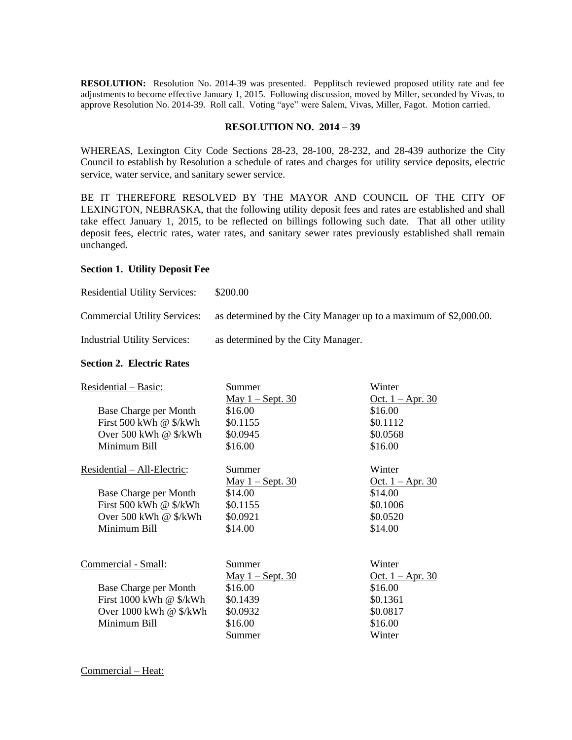**RESOLUTION:** Resolution No. 2014-39 was presented. Pepplitsch reviewed proposed utility rate and fee adjustments to become effective January 1, 2015. Following discussion, moved by Miller, seconded by Vivas, to approve Resolution No. 2014-39. Roll call. Voting "aye" were Salem, Vivas, Miller, Fagot. Motion carried.

### **RESOLUTION NO. 2014 – 39**

WHEREAS, Lexington City Code Sections 28-23, 28-100, 28-232, and 28-439 authorize the City Council to establish by Resolution a schedule of rates and charges for utility service deposits, electric service, water service, and sanitary sewer service.

BE IT THEREFORE RESOLVED BY THE MAYOR AND COUNCIL OF THE CITY OF LEXINGTON, NEBRASKA, that the following utility deposit fees and rates are established and shall take effect January 1, 2015, to be reflected on billings following such date. That all other utility deposit fees, electric rates, water rates, and sanitary sewer rates previously established shall remain unchanged.

### **Section 1. Utility Deposit Fee**

| <b>Residential Utility Services:</b> | \$200.00                                                         |
|--------------------------------------|------------------------------------------------------------------|
| <b>Commercial Utility Services:</b>  | as determined by the City Manager up to a maximum of \$2,000.00. |
| <b>Industrial Utility Services:</b>  | as determined by the City Manager.                               |

## **Section 2. Electric Rates**

| Residential - Basic:            | Summer                  | Winter                    |
|---------------------------------|-------------------------|---------------------------|
|                                 | <u>May 1 – Sept. 30</u> | <u>Oct.</u> $1 -$ Apr. 30 |
| Base Charge per Month           | \$16.00                 | \$16.00                   |
| First 500 kWh @ \$/kWh          | \$0.1155                | \$0.1112                  |
| Over 500 kWh $@$ \$/kWh         | \$0.0945                | \$0.0568                  |
| Minimum Bill                    | \$16.00                 | \$16.00                   |
| Residential – All-Electric:     | Summer                  | Winter                    |
|                                 | <u>May 1 – Sept. 30</u> | <u>Oct.</u> $1 -$ Apr. 30 |
| Base Charge per Month           | \$14.00                 | \$14.00                   |
| First 500 kWh @ \$/kWh          | \$0.1155                | \$0.1006                  |
| Over 500 kWh $@$ \$/kWh         | \$0.0921                | \$0.0520                  |
| Minimum Bill                    | \$14.00                 | \$14.00                   |
| Commercial - Small:             | Summer                  | Winter                    |
|                                 | <u>May 1 – Sept. 30</u> | <u>Oct.</u> $1 -$ Apr. 30 |
| Base Charge per Month           | \$16.00                 | \$16.00                   |
| First 1000 kWh @ \$/kWh         | \$0.1439                | \$0.1361                  |
| Over $1000$ kWh $\omega$ \$/kWh | \$0.0932                | \$0.0817                  |
| Minimum Bill                    | \$16.00                 | \$16.00                   |
|                                 | Summer                  | Winter                    |

Commercial – Heat: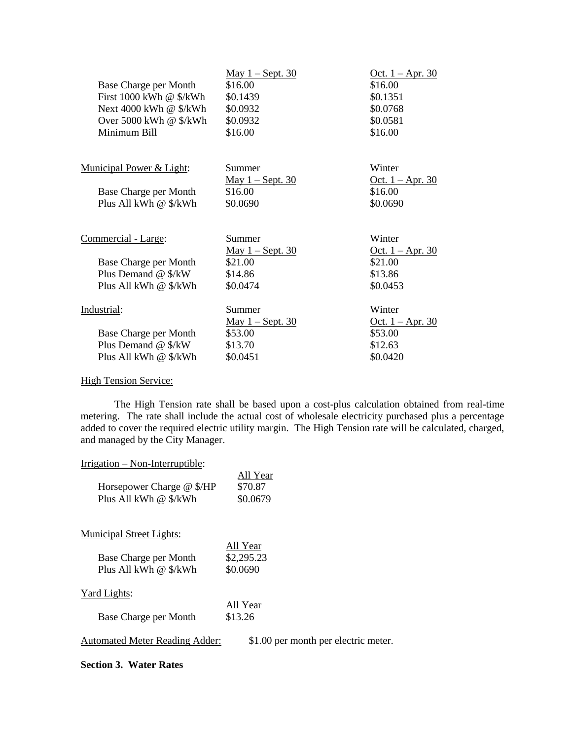| Base Charge per Month<br>First $1000$ kWh @ $\frac{1}{2}$ kWh<br>Next 4000 kWh @ \$/kWh<br>Over 5000 kWh @ \$/kWh<br>Minimum Bill | <u>May 1 – Sept. 30</u><br>\$16.00<br>\$0.1439<br>\$0.0932<br>\$0.0932<br>\$16.00 | <u>Oct.</u> $1 -$ Apr. 30<br>\$16.00<br>\$0.1351<br>\$0.0768<br>\$0.0581<br>\$16.00 |
|-----------------------------------------------------------------------------------------------------------------------------------|-----------------------------------------------------------------------------------|-------------------------------------------------------------------------------------|
| <b>Municipal Power &amp; Light:</b><br>Base Charge per Month<br>Plus All kWh @ \$/kWh                                             | Summer<br><u>May 1 – Sept. 30</u><br>\$16.00<br>\$0.0690                          | Winter<br><u>Oct. 1 – Apr. 30</u><br>\$16.00<br>\$0.0690                            |
| Commercial - Large:<br>Base Charge per Month<br>Plus Demand @ \$/kW<br>Plus All kWh @ \$/kWh                                      | Summer<br><u>May 1 – Sept. 30</u><br>\$21.00<br>\$14.86<br>\$0.0474               | Winter<br><u>Oct.</u> $1 -$ Apr. 30<br>\$21.00<br>\$13.86<br>\$0.0453               |
| Industrial:<br>Base Charge per Month<br>Plus Demand @ \$/kW<br>Plus All kWh @ \$/kWh                                              | Summer<br><u>May 1 – Sept. 30</u><br>\$53.00<br>\$13.70<br>\$0.0451               | Winter<br><u>Oct.</u> $1 -$ Apr. 30<br>\$53.00<br>\$12.63<br>\$0.0420               |

High Tension Service:

The High Tension rate shall be based upon a cost-plus calculation obtained from real-time metering. The rate shall include the actual cost of wholesale electricity purchased plus a percentage added to cover the required electric utility margin. The High Tension rate will be calculated, charged, and managed by the City Manager.

# Irrigation – Non-Interruptible:

| All Year<br>\$70.87<br>\$0.0679    |
|------------------------------------|
|                                    |
| All Year<br>\$2,295.23<br>\$0.0690 |
|                                    |
| All Year<br>\$13.26                |
|                                    |

Automated Meter Reading Adder: \$1.00 per month per electric meter.

# **Section 3. Water Rates**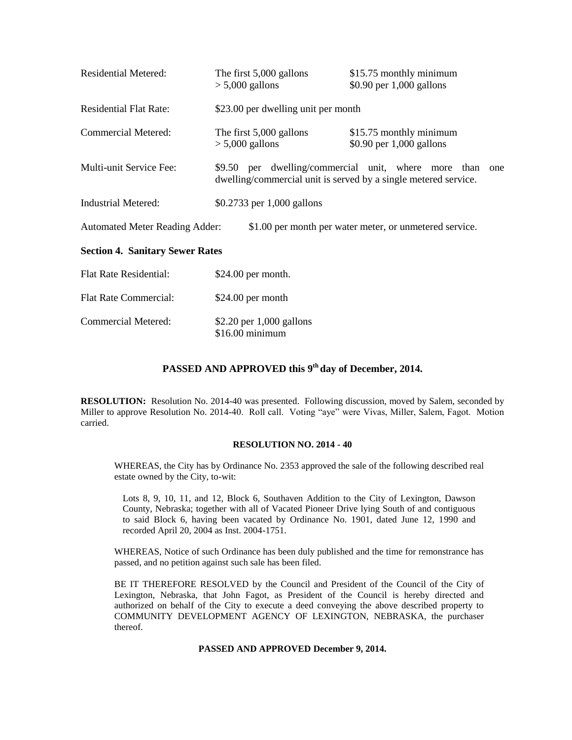| <b>Residential Metered:</b>                                                                      | The first 5,000 gallons<br>$> 5,000$ gallons                                                                                   | \$15.75 monthly minimum<br>$$0.90$ per 1,000 gallons |  |
|--------------------------------------------------------------------------------------------------|--------------------------------------------------------------------------------------------------------------------------------|------------------------------------------------------|--|
| <b>Residential Flat Rate:</b>                                                                    | \$23.00 per dwelling unit per month                                                                                            |                                                      |  |
| <b>Commercial Metered:</b>                                                                       | The first 5,000 gallons<br>$> 5,000$ gallons                                                                                   | \$15.75 monthly minimum<br>$$0.90$ per 1,000 gallons |  |
| Multi-unit Service Fee:                                                                          | \$9.50 per dwelling/commercial unit, where more than<br>one<br>dwelling/commercial unit is served by a single metered service. |                                                      |  |
| <b>Industrial Metered:</b>                                                                       | \$0.2733 per 1,000 gallons                                                                                                     |                                                      |  |
| \$1.00 per month per water meter, or unmetered service.<br><b>Automated Meter Reading Adder:</b> |                                                                                                                                |                                                      |  |
| Restion 1 Conitour Corner Detect                                                                 |                                                                                                                                |                                                      |  |

# **Section 4. Sanitary Sewer Rates**

| <b>Flat Rate Residential:</b> | $$24.00$ per month.                            |
|-------------------------------|------------------------------------------------|
| <b>Flat Rate Commercial:</b>  | $$24.00$ per month                             |
| Commercial Metered:           | \$2.20 per $1,000$ gallons<br>$$16.00$ minimum |

# **PASSED AND APPROVED this 9th day of December, 2014.**

**RESOLUTION:** Resolution No. 2014-40 was presented. Following discussion, moved by Salem, seconded by Miller to approve Resolution No. 2014-40. Roll call. Voting "aye" were Vivas, Miller, Salem, Fagot. Motion carried.

#### **RESOLUTION NO. 2014 - 40**

WHEREAS, the City has by Ordinance No. 2353 approved the sale of the following described real estate owned by the City, to-wit:

Lots 8, 9, 10, 11, and 12, Block 6, Southaven Addition to the City of Lexington, Dawson County, Nebraska; together with all of Vacated Pioneer Drive lying South of and contiguous to said Block 6, having been vacated by Ordinance No. 1901, dated June 12, 1990 and recorded April 20, 2004 as Inst. 2004-1751.

WHEREAS, Notice of such Ordinance has been duly published and the time for remonstrance has passed, and no petition against such sale has been filed.

BE IT THEREFORE RESOLVED by the Council and President of the Council of the City of Lexington, Nebraska, that John Fagot, as President of the Council is hereby directed and authorized on behalf of the City to execute a deed conveying the above described property to COMMUNITY DEVELOPMENT AGENCY OF LEXINGTON, NEBRASKA, the purchaser thereof.

#### **PASSED AND APPROVED December 9, 2014.**